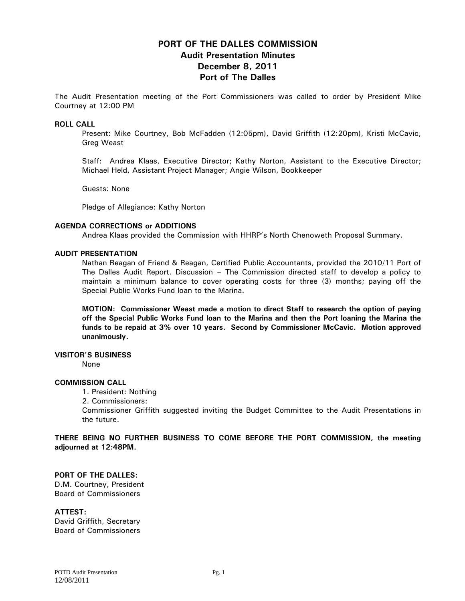# **PORT OF THE DALLES COMMISSION Audit Presentation Minutes December 8, 2011 Port of The Dalles**

The Audit Presentation meeting of the Port Commissioners was called to order by President Mike Courtney at 12:00 PM

### **ROLL CALL**

Present: Mike Courtney, Bob McFadden (12:05pm), David Griffith (12:20pm), Kristi McCavic, Greg Weast

Staff: Andrea Klaas, Executive Director; Kathy Norton, Assistant to the Executive Director; Michael Held, Assistant Project Manager; Angie Wilson, Bookkeeper

Guests: None

Pledge of Allegiance: Kathy Norton

#### **AGENDA CORRECTIONS or ADDITIONS**

Andrea Klaas provided the Commission with HHRP's North Chenoweth Proposal Summary.

#### **AUDIT PRESENTATION**

Nathan Reagan of Friend & Reagan, Certified Public Accountants, provided the 2010/11 Port of The Dalles Audit Report. Discussion – The Commission directed staff to develop a policy to maintain a minimum balance to cover operating costs for three (3) months; paying off the Special Public Works Fund loan to the Marina.

**MOTION: Commissioner Weast made a motion to direct Staff to research the option of paying off the Special Public Works Fund loan to the Marina and then the Port loaning the Marina the funds to be repaid at 3% over 10 years. Second by Commissioner McCavic. Motion approved unanimously.** 

### **VISITOR'S BUSINESS**

None

#### **COMMISSION CALL**

1. President: Nothing

2. Commissioners:

Commissioner Griffith suggested inviting the Budget Committee to the Audit Presentations in the future.

**THERE BEING NO FURTHER BUSINESS TO COME BEFORE THE PORT COMMISSION, the meeting adjourned at 12:48PM.** 

## **PORT OF THE DALLES:**

D.M. Courtney, President Board of Commissioners

#### **ATTEST:**

David Griffith, Secretary Board of Commissioners